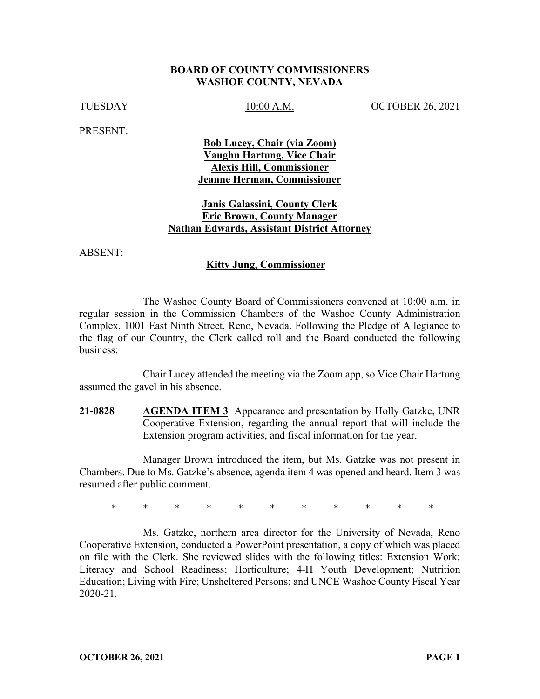### **BOARD OF COUNTY COMMISSIONERS WASHOE COUNTY, NEVADA**

TUESDAY 10:00 A.M. OCTOBER 26, 2021

PRESENT:

**Bob Lucey, Chair (via Zoom) Vaughn Hartung, Vice Chair Alexis Hill, Commissioner Jeanne Herman, Commissioner** 

# **Janis Galassini, County Clerk Eric Brown, County Manager Nathan Edwards, Assistant District Attorney**

ABSENT:

### **Kitty Jung, Commissioner**

The Washoe County Board of Commissioners convened at 10:00 a.m. in regular session in the Commission Chambers of the Washoe County Administration Complex, 1001 East Ninth Street, Reno, Nevada. Following the Pledge of Allegiance to the flag of our Country, the Clerk called roll and the Board conducted the following business:

Chair Lucey attended the meeting via the Zoom app, so Vice Chair Hartung assumed the gavel in his absence.

**21-0828 AGENDA ITEM 3** Appearance and presentation by Holly Gatzke, UNR Cooperative Extension, regarding the annual report that will include the Extension program activities, and fiscal information for the year.

Manager Brown introduced the item, but Ms. Gatzke was not present in Chambers. Due to Ms. Gatzke's absence, agenda item 4 was opened and heard. Item 3 was resumed after public comment.

\* \* \* \* \* \* \* \* \* \* \*

Ms. Gatzke, northern area director for the University of Nevada, Reno Cooperative Extension, conducted a PowerPoint presentation, a copy of which was placed on file with the Clerk. She reviewed slides with the following titles: Extension Work; Literacy and School Readiness; Horticulture; 4-H Youth Development; Nutrition Education; Living with Fire; Unsheltered Persons; and UNCE Washoe County Fiscal Year 2020-21.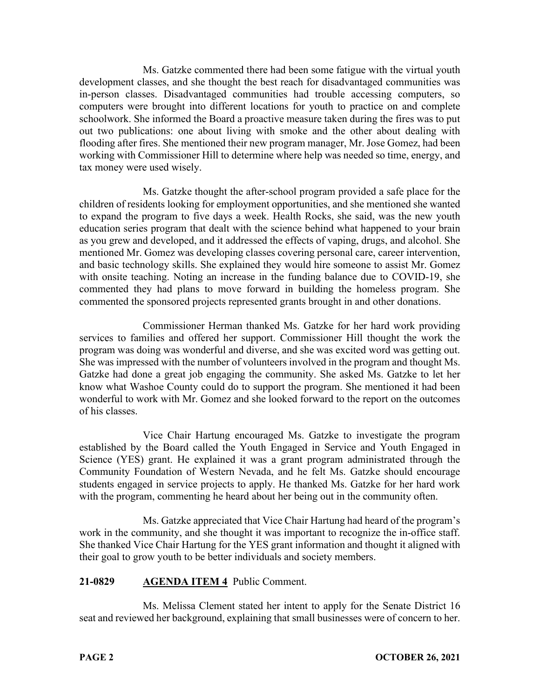Ms. Gatzke commented there had been some fatigue with the virtual youth development classes, and she thought the best reach for disadvantaged communities was in-person classes. Disadvantaged communities had trouble accessing computers, so computers were brought into different locations for youth to practice on and complete schoolwork. She informed the Board a proactive measure taken during the fires was to put out two publications: one about living with smoke and the other about dealing with flooding after fires. She mentioned their new program manager, Mr. Jose Gomez, had been working with Commissioner Hill to determine where help was needed so time, energy, and tax money were used wisely.

Ms. Gatzke thought the after-school program provided a safe place for the children of residents looking for employment opportunities, and she mentioned she wanted to expand the program to five days a week. Health Rocks, she said, was the new youth education series program that dealt with the science behind what happened to your brain as you grew and developed, and it addressed the effects of vaping, drugs, and alcohol. She mentioned Mr. Gomez was developing classes covering personal care, career intervention, and basic technology skills. She explained they would hire someone to assist Mr. Gomez with onsite teaching. Noting an increase in the funding balance due to COVID-19, she commented they had plans to move forward in building the homeless program. She commented the sponsored projects represented grants brought in and other donations.

Commissioner Herman thanked Ms. Gatzke for her hard work providing services to families and offered her support. Commissioner Hill thought the work the program was doing was wonderful and diverse, and she was excited word was getting out. She was impressed with the number of volunteers involved in the program and thought Ms. Gatzke had done a great job engaging the community. She asked Ms. Gatzke to let her know what Washoe County could do to support the program. She mentioned it had been wonderful to work with Mr. Gomez and she looked forward to the report on the outcomes of his classes.

Vice Chair Hartung encouraged Ms. Gatzke to investigate the program established by the Board called the Youth Engaged in Service and Youth Engaged in Science (YES) grant. He explained it was a grant program administrated through the Community Foundation of Western Nevada, and he felt Ms. Gatzke should encourage students engaged in service projects to apply. He thanked Ms. Gatzke for her hard work with the program, commenting he heard about her being out in the community often.

Ms. Gatzke appreciated that Vice Chair Hartung had heard of the program's work in the community, and she thought it was important to recognize the in-office staff. She thanked Vice Chair Hartung for the YES grant information and thought it aligned with their goal to grow youth to be better individuals and society members.

## **21-0829 AGENDA ITEM 4** Public Comment.

Ms. Melissa Clement stated her intent to apply for the Senate District 16 seat and reviewed her background, explaining that small businesses were of concern to her.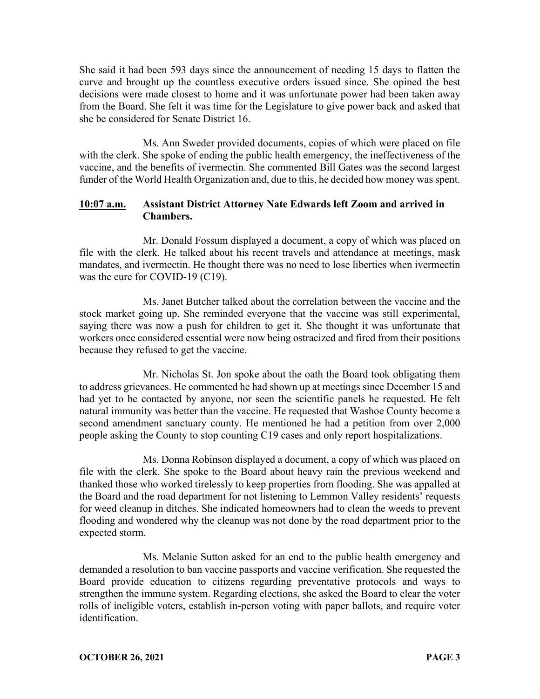She said it had been 593 days since the announcement of needing 15 days to flatten the curve and brought up the countless executive orders issued since. She opined the best decisions were made closest to home and it was unfortunate power had been taken away from the Board. She felt it was time for the Legislature to give power back and asked that she be considered for Senate District 16.

Ms. Ann Sweder provided documents, copies of which were placed on file with the clerk. She spoke of ending the public health emergency, the ineffectiveness of the vaccine, and the benefits of ivermectin. She commented Bill Gates was the second largest funder of the World Health Organization and, due to this, he decided how money was spent.

# **10:07 a.m. Assistant District Attorney Nate Edwards left Zoom and arrived in Chambers.**

Mr. Donald Fossum displayed a document, a copy of which was placed on file with the clerk. He talked about his recent travels and attendance at meetings, mask mandates, and ivermectin. He thought there was no need to lose liberties when ivermectin was the cure for COVID-19 (C19).

Ms. Janet Butcher talked about the correlation between the vaccine and the stock market going up. She reminded everyone that the vaccine was still experimental, saying there was now a push for children to get it. She thought it was unfortunate that workers once considered essential were now being ostracized and fired from their positions because they refused to get the vaccine.

Mr. Nicholas St. Jon spoke about the oath the Board took obligating them to address grievances. He commented he had shown up at meetings since December 15 and had yet to be contacted by anyone, nor seen the scientific panels he requested. He felt natural immunity was better than the vaccine. He requested that Washoe County become a second amendment sanctuary county. He mentioned he had a petition from over 2,000 people asking the County to stop counting C19 cases and only report hospitalizations.

Ms. Donna Robinson displayed a document, a copy of which was placed on file with the clerk. She spoke to the Board about heavy rain the previous weekend and thanked those who worked tirelessly to keep properties from flooding. She was appalled at the Board and the road department for not listening to Lemmon Valley residents' requests for weed cleanup in ditches. She indicated homeowners had to clean the weeds to prevent flooding and wondered why the cleanup was not done by the road department prior to the expected storm.

Ms. Melanie Sutton asked for an end to the public health emergency and demanded a resolution to ban vaccine passports and vaccine verification. She requested the Board provide education to citizens regarding preventative protocols and ways to strengthen the immune system. Regarding elections, she asked the Board to clear the voter rolls of ineligible voters, establish in-person voting with paper ballots, and require voter identification.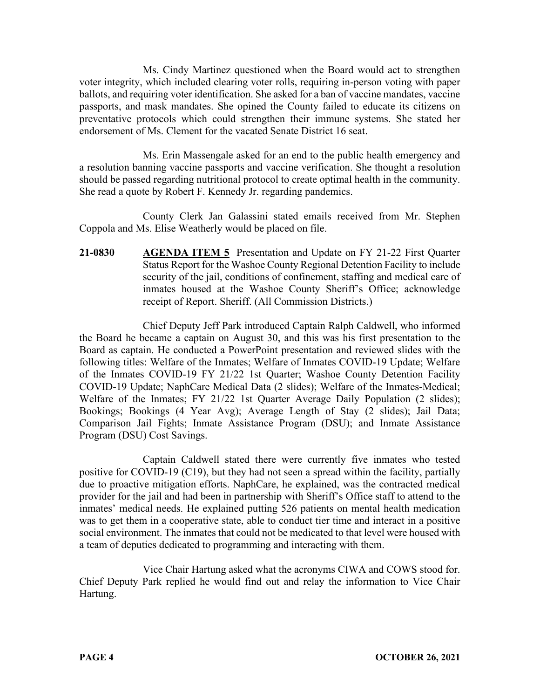Ms. Cindy Martinez questioned when the Board would act to strengthen voter integrity, which included clearing voter rolls, requiring in-person voting with paper ballots, and requiring voter identification. She asked for a ban of vaccine mandates, vaccine passports, and mask mandates. She opined the County failed to educate its citizens on preventative protocols which could strengthen their immune systems. She stated her endorsement of Ms. Clement for the vacated Senate District 16 seat.

Ms. Erin Massengale asked for an end to the public health emergency and a resolution banning vaccine passports and vaccine verification. She thought a resolution should be passed regarding nutritional protocol to create optimal health in the community. She read a quote by Robert F. Kennedy Jr. regarding pandemics.

County Clerk Jan Galassini stated emails received from Mr. Stephen Coppola and Ms. Elise Weatherly would be placed on file.

**21-0830 AGENDA ITEM 5** Presentation and Update on FY 21-22 First Quarter Status Report for the Washoe County Regional Detention Facility to include security of the jail, conditions of confinement, staffing and medical care of inmates housed at the Washoe County Sheriff's Office; acknowledge receipt of Report. Sheriff. (All Commission Districts.)

Chief Deputy Jeff Park introduced Captain Ralph Caldwell, who informed the Board he became a captain on August 30, and this was his first presentation to the Board as captain. He conducted a PowerPoint presentation and reviewed slides with the following titles: Welfare of the Inmates; Welfare of Inmates COVID-19 Update; Welfare of the Inmates COVID-19 FY 21/22 1st Quarter; Washoe County Detention Facility COVID-19 Update; NaphCare Medical Data (2 slides); Welfare of the Inmates-Medical; Welfare of the Inmates; FY 21/22 1st Quarter Average Daily Population (2 slides); Bookings; Bookings (4 Year Avg); Average Length of Stay (2 slides); Jail Data; Comparison Jail Fights; Inmate Assistance Program (DSU); and Inmate Assistance Program (DSU) Cost Savings.

Captain Caldwell stated there were currently five inmates who tested positive for COVID-19 (C19), but they had not seen a spread within the facility, partially due to proactive mitigation efforts. NaphCare, he explained, was the contracted medical provider for the jail and had been in partnership with Sheriff's Office staff to attend to the inmates' medical needs. He explained putting 526 patients on mental health medication was to get them in a cooperative state, able to conduct tier time and interact in a positive social environment. The inmates that could not be medicated to that level were housed with a team of deputies dedicated to programming and interacting with them.

Vice Chair Hartung asked what the acronyms CIWA and COWS stood for. Chief Deputy Park replied he would find out and relay the information to Vice Chair Hartung.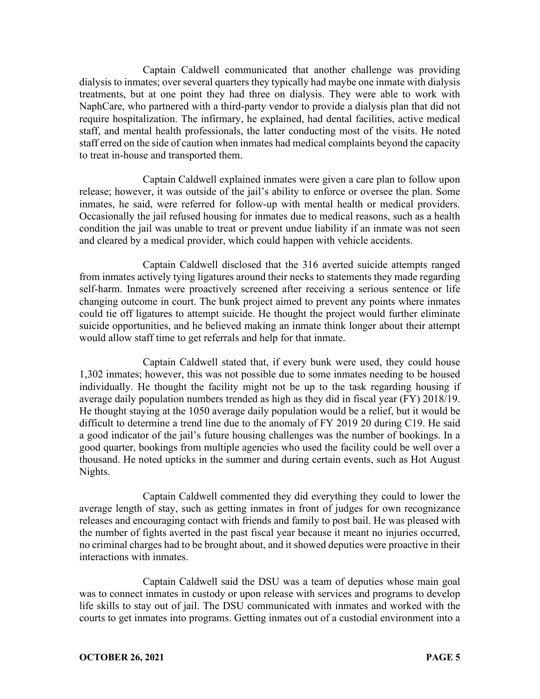Captain Caldwell communicated that another challenge was providing dialysis to inmates; over several quarters they typically had maybe one inmate with dialysis treatments, but at one point they had three on dialysis. They were able to work with NaphCare, who partnered with a third-party vendor to provide a dialysis plan that did not require hospitalization. The infirmary, he explained, had dental facilities, active medical staff, and mental health professionals, the latter conducting most of the visits. He noted staff erred on the side of caution when inmates had medical complaints beyond the capacity to treat in-house and transported them.

Captain Caldwell explained inmates were given a care plan to follow upon release; however, it was outside of the jail's ability to enforce or oversee the plan. Some inmates, he said, were referred for follow-up with mental health or medical providers. Occasionally the jail refused housing for inmates due to medical reasons, such as a health condition the jail was unable to treat or prevent undue liability if an inmate was not seen and cleared by a medical provider, which could happen with vehicle accidents.

Captain Caldwell disclosed that the 316 averted suicide attempts ranged from inmates actively tying ligatures around their necks to statements they made regarding self-harm. Inmates were proactively screened after receiving a serious sentence or life changing outcome in court. The bunk project aimed to prevent any points where inmates could tie off ligatures to attempt suicide. He thought the project would further eliminate suicide opportunities, and he believed making an inmate think longer about their attempt would allow staff time to get referrals and help for that inmate.

Captain Caldwell stated that, if every bunk were used, they could house 1,302 inmates; however, this was not possible due to some inmates needing to be housed individually. He thought the facility might not be up to the task regarding housing if average daily population numbers trended as high as they did in fiscal year (FY) 2018/19. He thought staying at the 1050 average daily population would be a relief, but it would be difficult to determine a trend line due to the anomaly of FY 2019 20 during C19. He said a good indicator of the jail's future housing challenges was the number of bookings. In a good quarter, bookings from multiple agencies who used the facility could be well over a thousand. He noted upticks in the summer and during certain events, such as Hot August Nights.

Captain Caldwell commented they did everything they could to lower the average length of stay, such as getting inmates in front of judges for own recognizance releases and encouraging contact with friends and family to post bail. He was pleased with the number of fights averted in the past fiscal year because it meant no injuries occurred, no criminal charges had to be brought about, and it showed deputies were proactive in their interactions with inmates.

Captain Caldwell said the DSU was a team of deputies whose main goal was to connect inmates in custody or upon release with services and programs to develop life skills to stay out of jail. The DSU communicated with inmates and worked with the courts to get inmates into programs. Getting inmates out of a custodial environment into a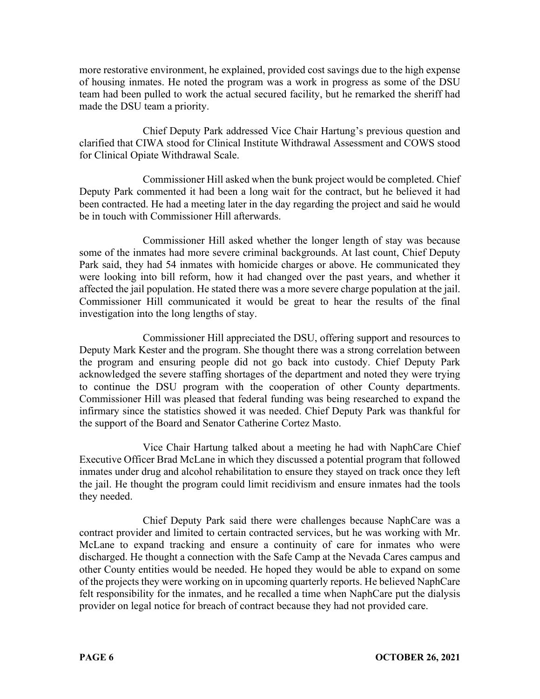more restorative environment, he explained, provided cost savings due to the high expense of housing inmates. He noted the program was a work in progress as some of the DSU team had been pulled to work the actual secured facility, but he remarked the sheriff had made the DSU team a priority.

Chief Deputy Park addressed Vice Chair Hartung's previous question and clarified that CIWA stood for Clinical Institute Withdrawal Assessment and COWS stood for Clinical Opiate Withdrawal Scale.

Commissioner Hill asked when the bunk project would be completed. Chief Deputy Park commented it had been a long wait for the contract, but he believed it had been contracted. He had a meeting later in the day regarding the project and said he would be in touch with Commissioner Hill afterwards.

Commissioner Hill asked whether the longer length of stay was because some of the inmates had more severe criminal backgrounds. At last count, Chief Deputy Park said, they had 54 inmates with homicide charges or above. He communicated they were looking into bill reform, how it had changed over the past years, and whether it affected the jail population. He stated there was a more severe charge population at the jail. Commissioner Hill communicated it would be great to hear the results of the final investigation into the long lengths of stay.

Commissioner Hill appreciated the DSU, offering support and resources to Deputy Mark Kester and the program. She thought there was a strong correlation between the program and ensuring people did not go back into custody. Chief Deputy Park acknowledged the severe staffing shortages of the department and noted they were trying to continue the DSU program with the cooperation of other County departments. Commissioner Hill was pleased that federal funding was being researched to expand the infirmary since the statistics showed it was needed. Chief Deputy Park was thankful for the support of the Board and Senator Catherine Cortez Masto.

Vice Chair Hartung talked about a meeting he had with NaphCare Chief Executive Officer Brad McLane in which they discussed a potential program that followed inmates under drug and alcohol rehabilitation to ensure they stayed on track once they left the jail. He thought the program could limit recidivism and ensure inmates had the tools they needed.

Chief Deputy Park said there were challenges because NaphCare was a contract provider and limited to certain contracted services, but he was working with Mr. McLane to expand tracking and ensure a continuity of care for inmates who were discharged. He thought a connection with the Safe Camp at the Nevada Cares campus and other County entities would be needed. He hoped they would be able to expand on some of the projects they were working on in upcoming quarterly reports. He believed NaphCare felt responsibility for the inmates, and he recalled a time when NaphCare put the dialysis provider on legal notice for breach of contract because they had not provided care.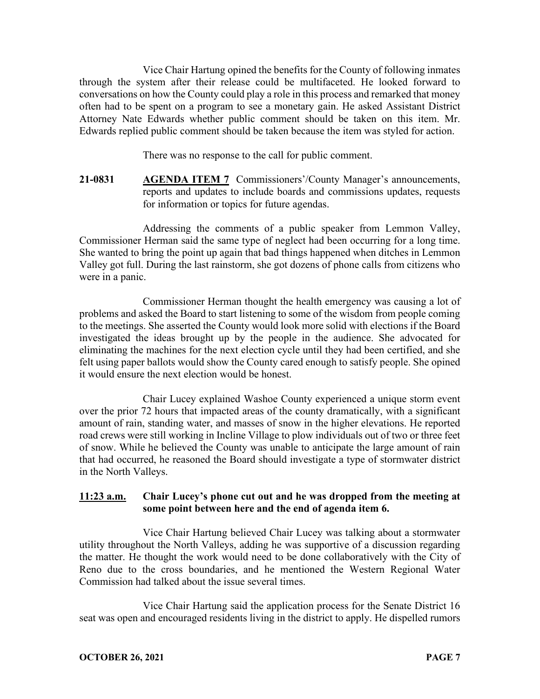Vice Chair Hartung opined the benefits for the County of following inmates through the system after their release could be multifaceted. He looked forward to conversations on how the County could play a role in this process and remarked that money often had to be spent on a program to see a monetary gain. He asked Assistant District Attorney Nate Edwards whether public comment should be taken on this item. Mr. Edwards replied public comment should be taken because the item was styled for action.

There was no response to the call for public comment.

**21-0831 AGENDA ITEM 7** Commissioners'/County Manager's announcements, reports and updates to include boards and commissions updates, requests for information or topics for future agendas.

Addressing the comments of a public speaker from Lemmon Valley, Commissioner Herman said the same type of neglect had been occurring for a long time. She wanted to bring the point up again that bad things happened when ditches in Lemmon Valley got full. During the last rainstorm, she got dozens of phone calls from citizens who were in a panic.

Commissioner Herman thought the health emergency was causing a lot of problems and asked the Board to start listening to some of the wisdom from people coming to the meetings. She asserted the County would look more solid with elections if the Board investigated the ideas brought up by the people in the audience. She advocated for eliminating the machines for the next election cycle until they had been certified, and she felt using paper ballots would show the County cared enough to satisfy people. She opined it would ensure the next election would be honest.

Chair Lucey explained Washoe County experienced a unique storm event over the prior 72 hours that impacted areas of the county dramatically, with a significant amount of rain, standing water, and masses of snow in the higher elevations. He reported road crews were still working in Incline Village to plow individuals out of two or three feet of snow. While he believed the County was unable to anticipate the large amount of rain that had occurred, he reasoned the Board should investigate a type of stormwater district in the North Valleys.

# **11:23 a.m. Chair Lucey's phone cut out and he was dropped from the meeting at some point between here and the end of agenda item 6.**

Vice Chair Hartung believed Chair Lucey was talking about a stormwater utility throughout the North Valleys, adding he was supportive of a discussion regarding the matter. He thought the work would need to be done collaboratively with the City of Reno due to the cross boundaries, and he mentioned the Western Regional Water Commission had talked about the issue several times.

Vice Chair Hartung said the application process for the Senate District 16 seat was open and encouraged residents living in the district to apply. He dispelled rumors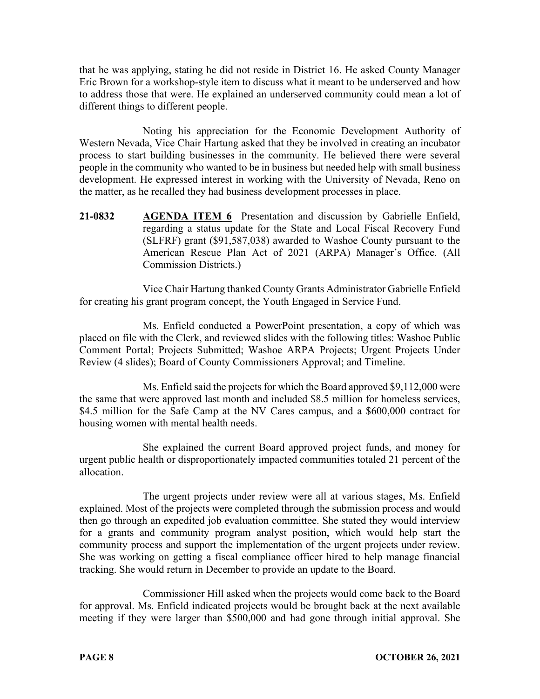that he was applying, stating he did not reside in District 16. He asked County Manager Eric Brown for a workshop-style item to discuss what it meant to be underserved and how to address those that were. He explained an underserved community could mean a lot of different things to different people.

Noting his appreciation for the Economic Development Authority of Western Nevada, Vice Chair Hartung asked that they be involved in creating an incubator process to start building businesses in the community. He believed there were several people in the community who wanted to be in business but needed help with small business development. He expressed interest in working with the University of Nevada, Reno on the matter, as he recalled they had business development processes in place.

**21-0832 AGENDA ITEM 6** Presentation and discussion by Gabrielle Enfield, regarding a status update for the State and Local Fiscal Recovery Fund (SLFRF) grant (\$91,587,038) awarded to Washoe County pursuant to the American Rescue Plan Act of 2021 (ARPA) Manager's Office. (All Commission Districts.)

Vice Chair Hartung thanked County Grants Administrator Gabrielle Enfield for creating his grant program concept, the Youth Engaged in Service Fund.

Ms. Enfield conducted a PowerPoint presentation, a copy of which was placed on file with the Clerk, and reviewed slides with the following titles: Washoe Public Comment Portal; Projects Submitted; Washoe ARPA Projects; Urgent Projects Under Review (4 slides); Board of County Commissioners Approval; and Timeline.

Ms. Enfield said the projects for which the Board approved \$9,112,000 were the same that were approved last month and included \$8.5 million for homeless services, \$4.5 million for the Safe Camp at the NV Cares campus, and a \$600,000 contract for housing women with mental health needs.

She explained the current Board approved project funds, and money for urgent public health or disproportionately impacted communities totaled 21 percent of the allocation.

The urgent projects under review were all at various stages, Ms. Enfield explained. Most of the projects were completed through the submission process and would then go through an expedited job evaluation committee. She stated they would interview for a grants and community program analyst position, which would help start the community process and support the implementation of the urgent projects under review. She was working on getting a fiscal compliance officer hired to help manage financial tracking. She would return in December to provide an update to the Board.

Commissioner Hill asked when the projects would come back to the Board for approval. Ms. Enfield indicated projects would be brought back at the next available meeting if they were larger than \$500,000 and had gone through initial approval. She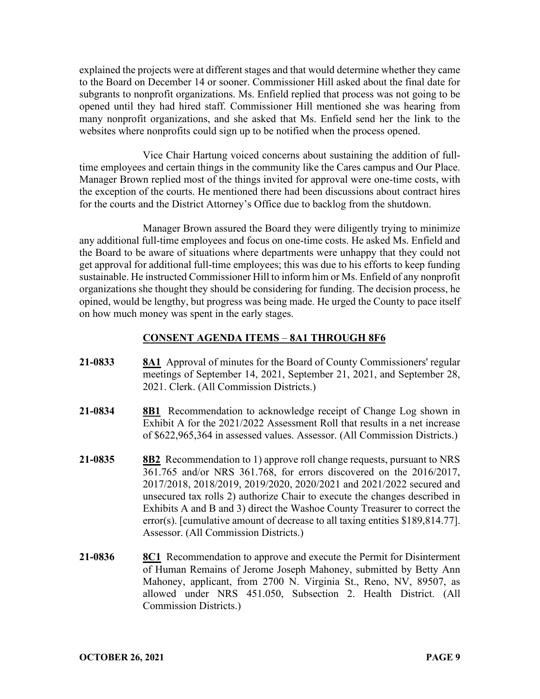explained the projects were at different stages and that would determine whether they came to the Board on December 14 or sooner. Commissioner Hill asked about the final date for subgrants to nonprofit organizations. Ms. Enfield replied that process was not going to be opened until they had hired staff. Commissioner Hill mentioned she was hearing from many nonprofit organizations, and she asked that Ms. Enfield send her the link to the websites where nonprofits could sign up to be notified when the process opened.

Vice Chair Hartung voiced concerns about sustaining the addition of fulltime employees and certain things in the community like the Cares campus and Our Place. Manager Brown replied most of the things invited for approval were one-time costs, with the exception of the courts. He mentioned there had been discussions about contract hires for the courts and the District Attorney's Office due to backlog from the shutdown.

Manager Brown assured the Board they were diligently trying to minimize any additional full-time employees and focus on one-time costs. He asked Ms. Enfield and the Board to be aware of situations where departments were unhappy that they could not get approval for additional full-time employees; this was due to his efforts to keep funding sustainable. He instructed Commissioner Hill to inform him or Ms. Enfield of any nonprofit organizations she thought they should be considering for funding. The decision process, he opined, would be lengthy, but progress was being made. He urged the County to pace itself on how much money was spent in the early stages.

# **CONSENT AGENDA ITEMS** – **8A1 THROUGH 8F6**

- **21-0833 8A1** Approval of minutes for the Board of County Commissioners' regular meetings of September 14, 2021, September 21, 2021, and September 28, 2021. Clerk. (All Commission Districts.)
- **21-0834 8B1** Recommendation to acknowledge receipt of Change Log shown in Exhibit A for the 2021/2022 Assessment Roll that results in a net increase of \$622,965,364 in assessed values. Assessor. (All Commission Districts.)
- **21-0835 8B2** Recommendation to 1) approve roll change requests, pursuant to NRS 361.765 and/or NRS 361.768, for errors discovered on the 2016/2017, 2017/2018, 2018/2019, 2019/2020, 2020/2021 and 2021/2022 secured and unsecured tax rolls 2) authorize Chair to execute the changes described in Exhibits A and B and 3) direct the Washoe County Treasurer to correct the error(s). [cumulative amount of decrease to all taxing entities \$189,814.77]. Assessor. (All Commission Districts.)
- **21-0836 8C1** Recommendation to approve and execute the Permit for Disinterment of Human Remains of Jerome Joseph Mahoney, submitted by Betty Ann Mahoney, applicant, from 2700 N. Virginia St., Reno, NV, 89507, as allowed under NRS 451.050, Subsection 2. Health District. (All Commission Districts.)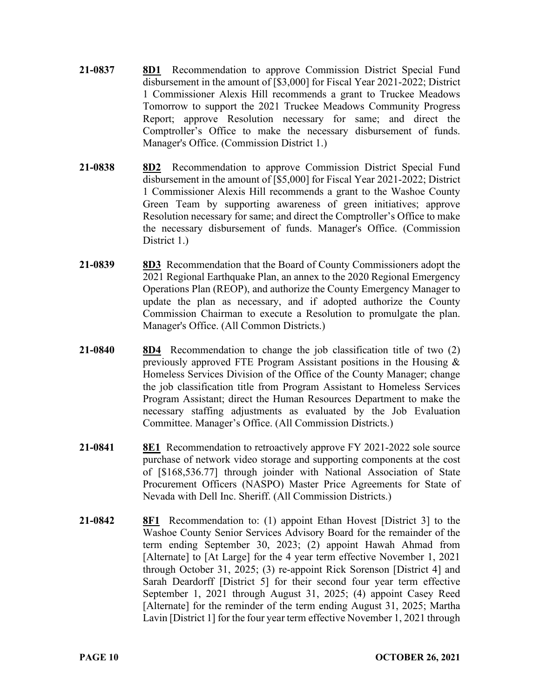- **21-0837 8D1** Recommendation to approve Commission District Special Fund disbursement in the amount of [\$3,000] for Fiscal Year 2021-2022; District 1 Commissioner Alexis Hill recommends a grant to Truckee Meadows Tomorrow to support the 2021 Truckee Meadows Community Progress Report; approve Resolution necessary for same; and direct the Comptroller's Office to make the necessary disbursement of funds. Manager's Office. (Commission District 1.)
- **21-0838 8D2** Recommendation to approve Commission District Special Fund disbursement in the amount of [\$5,000] for Fiscal Year 2021-2022; District 1 Commissioner Alexis Hill recommends a grant to the Washoe County Green Team by supporting awareness of green initiatives; approve Resolution necessary for same; and direct the Comptroller's Office to make the necessary disbursement of funds. Manager's Office. (Commission District 1.)
- **21-0839 8D3** Recommendation that the Board of County Commissioners adopt the 2021 Regional Earthquake Plan, an annex to the 2020 Regional Emergency Operations Plan (REOP), and authorize the County Emergency Manager to update the plan as necessary, and if adopted authorize the County Commission Chairman to execute a Resolution to promulgate the plan. Manager's Office. (All Common Districts.)
- **21-0840 8D4** Recommendation to change the job classification title of two (2) previously approved FTE Program Assistant positions in the Housing & Homeless Services Division of the Office of the County Manager; change the job classification title from Program Assistant to Homeless Services Program Assistant; direct the Human Resources Department to make the necessary staffing adjustments as evaluated by the Job Evaluation Committee. Manager's Office. (All Commission Districts.)
- **21-0841 8E1** Recommendation to retroactively approve FY 2021-2022 sole source purchase of network video storage and supporting components at the cost of [\$168,536.77] through joinder with National Association of State Procurement Officers (NASPO) Master Price Agreements for State of Nevada with Dell Inc. Sheriff. (All Commission Districts.)
- **21-0842 8F1** Recommendation to: (1) appoint Ethan Hovest [District 3] to the Washoe County Senior Services Advisory Board for the remainder of the term ending September 30, 2023; (2) appoint Hawah Ahmad from [Alternate] to [At Large] for the 4 year term effective November 1, 2021 through October 31, 2025; (3) re-appoint Rick Sorenson [District 4] and Sarah Deardorff [District 5] for their second four year term effective September 1, 2021 through August 31, 2025; (4) appoint Casey Reed [Alternate] for the reminder of the term ending August 31, 2025; Martha Lavin [District 1] for the four year term effective November 1, 2021 through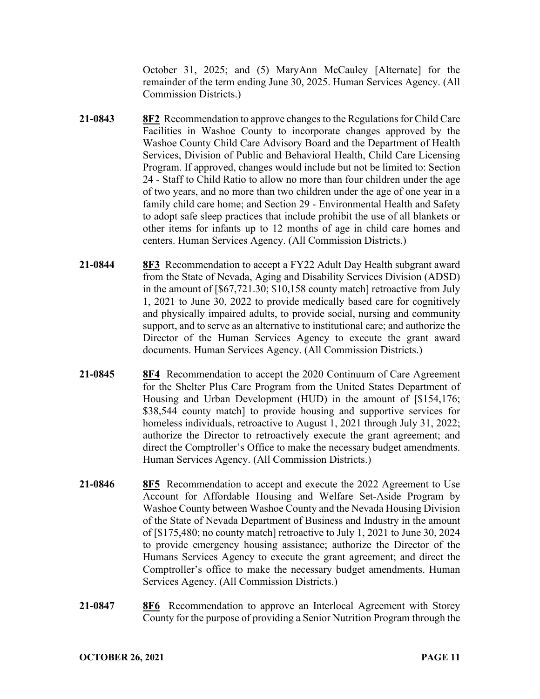October 31, 2025; and (5) MaryAnn McCauley [Alternate] for the remainder of the term ending June 30, 2025. Human Services Agency. (All Commission Districts.)

- **21-0843 8F2** Recommendation to approve changes to the Regulations for Child Care Facilities in Washoe County to incorporate changes approved by the Washoe County Child Care Advisory Board and the Department of Health Services, Division of Public and Behavioral Health, Child Care Licensing Program. If approved, changes would include but not be limited to: Section 24 - Staff to Child Ratio to allow no more than four children under the age of two years, and no more than two children under the age of one year in a family child care home; and Section 29 - Environmental Health and Safety to adopt safe sleep practices that include prohibit the use of all blankets or other items for infants up to 12 months of age in child care homes and centers. Human Services Agency. (All Commission Districts.)
- **21-0844 8F3** Recommendation to accept a FY22 Adult Day Health subgrant award from the State of Nevada, Aging and Disability Services Division (ADSD) in the amount of [\$67,721.30; \$10,158 county match] retroactive from July 1, 2021 to June 30, 2022 to provide medically based care for cognitively and physically impaired adults, to provide social, nursing and community support, and to serve as an alternative to institutional care; and authorize the Director of the Human Services Agency to execute the grant award documents. Human Services Agency. (All Commission Districts.)
- **21-0845 8F4** Recommendation to accept the 2020 Continuum of Care Agreement for the Shelter Plus Care Program from the United States Department of Housing and Urban Development (HUD) in the amount of [\$154,176; \$38,544 county match] to provide housing and supportive services for homeless individuals, retroactive to August 1, 2021 through July 31, 2022; authorize the Director to retroactively execute the grant agreement; and direct the Comptroller's Office to make the necessary budget amendments. Human Services Agency. (All Commission Districts.)
- **21-0846 8F5** Recommendation to accept and execute the 2022 Agreement to Use Account for Affordable Housing and Welfare Set-Aside Program by Washoe County between Washoe County and the Nevada Housing Division of the State of Nevada Department of Business and Industry in the amount of [\$175,480; no county match] retroactive to July 1, 2021 to June 30, 2024 to provide emergency housing assistance; authorize the Director of the Humans Services Agency to execute the grant agreement; and direct the Comptroller's office to make the necessary budget amendments. Human Services Agency. (All Commission Districts.)
- **21-0847 8F6** Recommendation to approve an Interlocal Agreement with Storey County for the purpose of providing a Senior Nutrition Program through the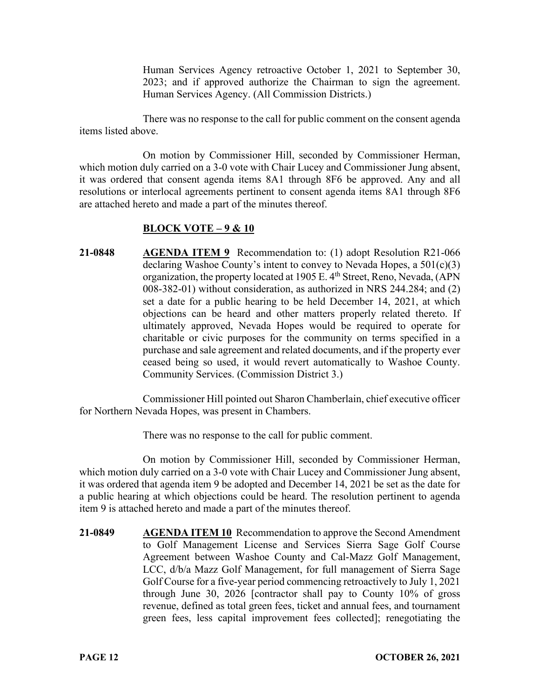Human Services Agency retroactive October 1, 2021 to September 30, 2023; and if approved authorize the Chairman to sign the agreement. Human Services Agency. (All Commission Districts.)

There was no response to the call for public comment on the consent agenda items listed above.

On motion by Commissioner Hill, seconded by Commissioner Herman, which motion duly carried on a 3-0 vote with Chair Lucey and Commissioner Jung absent, it was ordered that consent agenda items 8A1 through 8F6 be approved. Any and all resolutions or interlocal agreements pertinent to consent agenda items 8A1 through 8F6 are attached hereto and made a part of the minutes thereof.

#### **BLOCK VOTE – 9 & 10**

**21-0848 AGENDA ITEM 9** Recommendation to: (1) adopt Resolution R21-066 declaring Washoe County's intent to convey to Nevada Hopes, a 501(c)(3) organization, the property located at 1905 E. 4<sup>th</sup> Street, Reno, Nevada, (APN 008-382-01) without consideration, as authorized in NRS 244.284; and (2) set a date for a public hearing to be held December 14, 2021, at which objections can be heard and other matters properly related thereto. If ultimately approved, Nevada Hopes would be required to operate for charitable or civic purposes for the community on terms specified in a purchase and sale agreement and related documents, and if the property ever ceased being so used, it would revert automatically to Washoe County. Community Services. (Commission District 3.)

Commissioner Hill pointed out Sharon Chamberlain, chief executive officer for Northern Nevada Hopes, was present in Chambers.

There was no response to the call for public comment.

On motion by Commissioner Hill, seconded by Commissioner Herman, which motion duly carried on a 3-0 vote with Chair Lucey and Commissioner Jung absent, it was ordered that agenda item 9 be adopted and December 14, 2021 be set as the date for a public hearing at which objections could be heard. The resolution pertinent to agenda item 9 is attached hereto and made a part of the minutes thereof.

**21-0849 AGENDA ITEM 10** Recommendation to approve the Second Amendment to Golf Management License and Services Sierra Sage Golf Course Agreement between Washoe County and Cal-Mazz Golf Management, LCC, d/b/a Mazz Golf Management, for full management of Sierra Sage Golf Course for a five-year period commencing retroactively to July 1, 2021 through June 30, 2026 [contractor shall pay to County 10% of gross revenue, defined as total green fees, ticket and annual fees, and tournament green fees, less capital improvement fees collected]; renegotiating the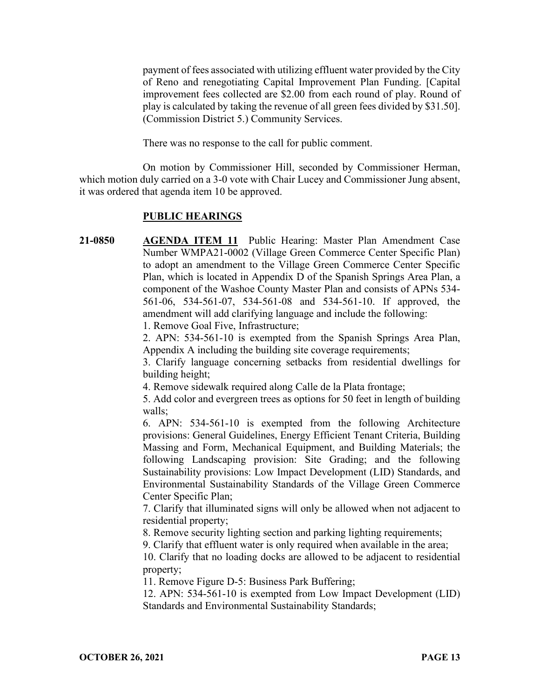payment of fees associated with utilizing effluent water provided by the City of Reno and renegotiating Capital Improvement Plan Funding. [Capital improvement fees collected are \$2.00 from each round of play. Round of play is calculated by taking the revenue of all green fees divided by \$31.50]. (Commission District 5.) Community Services.

There was no response to the call for public comment.

On motion by Commissioner Hill, seconded by Commissioner Herman, which motion duly carried on a 3-0 vote with Chair Lucey and Commissioner Jung absent, it was ordered that agenda item 10 be approved.

#### **PUBLIC HEARINGS**

**21-0850 AGENDA ITEM 11** Public Hearing: Master Plan Amendment Case Number WMPA21-0002 (Village Green Commerce Center Specific Plan) to adopt an amendment to the Village Green Commerce Center Specific Plan, which is located in Appendix D of the Spanish Springs Area Plan, a component of the Washoe County Master Plan and consists of APNs 534- 561-06, 534-561-07, 534-561-08 and 534-561-10. If approved, the amendment will add clarifying language and include the following:

1. Remove Goal Five, Infrastructure;

2. APN: 534-561-10 is exempted from the Spanish Springs Area Plan, Appendix A including the building site coverage requirements;

3. Clarify language concerning setbacks from residential dwellings for building height;

4. Remove sidewalk required along Calle de la Plata frontage;

5. Add color and evergreen trees as options for 50 feet in length of building walls;

6. APN: 534-561-10 is exempted from the following Architecture provisions: General Guidelines, Energy Efficient Tenant Criteria, Building Massing and Form, Mechanical Equipment, and Building Materials; the following Landscaping provision: Site Grading; and the following Sustainability provisions: Low Impact Development (LID) Standards, and Environmental Sustainability Standards of the Village Green Commerce Center Specific Plan;

7. Clarify that illuminated signs will only be allowed when not adjacent to residential property;

8. Remove security lighting section and parking lighting requirements;

9. Clarify that effluent water is only required when available in the area;

10. Clarify that no loading docks are allowed to be adjacent to residential property;

11. Remove Figure D-5: Business Park Buffering;

12. APN: 534-561-10 is exempted from Low Impact Development (LID) Standards and Environmental Sustainability Standards;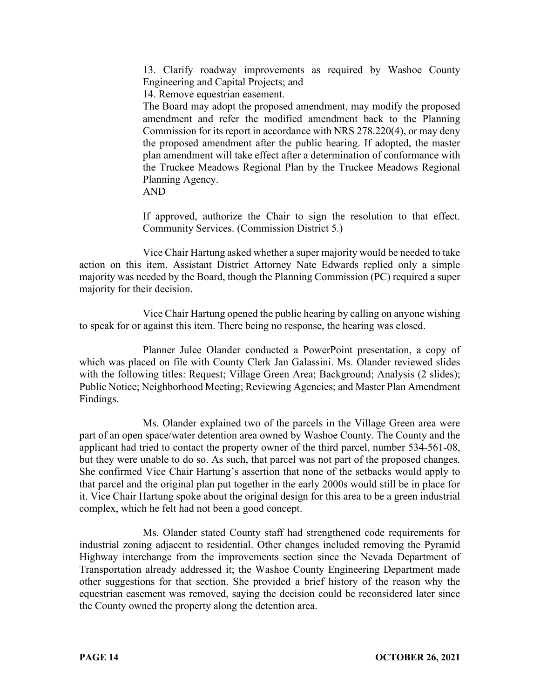13. Clarify roadway improvements as required by Washoe County Engineering and Capital Projects; and

14. Remove equestrian easement.

The Board may adopt the proposed amendment, may modify the proposed amendment and refer the modified amendment back to the Planning Commission for its report in accordance with NRS 278.220(4), or may deny the proposed amendment after the public hearing. If adopted, the master plan amendment will take effect after a determination of conformance with the Truckee Meadows Regional Plan by the Truckee Meadows Regional Planning Agency.

AND

If approved, authorize the Chair to sign the resolution to that effect. Community Services. (Commission District 5.)

Vice Chair Hartung asked whether a super majority would be needed to take action on this item. Assistant District Attorney Nate Edwards replied only a simple majority was needed by the Board, though the Planning Commission (PC) required a super majority for their decision.

Vice Chair Hartung opened the public hearing by calling on anyone wishing to speak for or against this item. There being no response, the hearing was closed.

Planner Julee Olander conducted a PowerPoint presentation, a copy of which was placed on file with County Clerk Jan Galassini. Ms. Olander reviewed slides with the following titles: Request; Village Green Area; Background; Analysis (2 slides); Public Notice; Neighborhood Meeting; Reviewing Agencies; and Master Plan Amendment Findings.

Ms. Olander explained two of the parcels in the Village Green area were part of an open space/water detention area owned by Washoe County. The County and the applicant had tried to contact the property owner of the third parcel, number 534-561-08, but they were unable to do so. As such, that parcel was not part of the proposed changes. She confirmed Vice Chair Hartung's assertion that none of the setbacks would apply to that parcel and the original plan put together in the early 2000s would still be in place for it. Vice Chair Hartung spoke about the original design for this area to be a green industrial complex, which he felt had not been a good concept.

Ms. Olander stated County staff had strengthened code requirements for industrial zoning adjacent to residential. Other changes included removing the Pyramid Highway interchange from the improvements section since the Nevada Department of Transportation already addressed it; the Washoe County Engineering Department made other suggestions for that section. She provided a brief history of the reason why the equestrian easement was removed, saying the decision could be reconsidered later since the County owned the property along the detention area.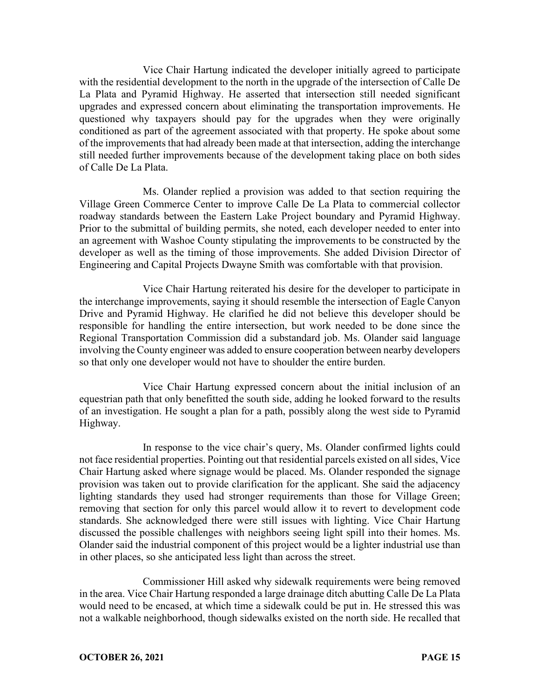Vice Chair Hartung indicated the developer initially agreed to participate with the residential development to the north in the upgrade of the intersection of Calle De La Plata and Pyramid Highway. He asserted that intersection still needed significant upgrades and expressed concern about eliminating the transportation improvements. He questioned why taxpayers should pay for the upgrades when they were originally conditioned as part of the agreement associated with that property. He spoke about some of the improvements that had already been made at that intersection, adding the interchange still needed further improvements because of the development taking place on both sides of Calle De La Plata.

Ms. Olander replied a provision was added to that section requiring the Village Green Commerce Center to improve Calle De La Plata to commercial collector roadway standards between the Eastern Lake Project boundary and Pyramid Highway. Prior to the submittal of building permits, she noted, each developer needed to enter into an agreement with Washoe County stipulating the improvements to be constructed by the developer as well as the timing of those improvements. She added Division Director of Engineering and Capital Projects Dwayne Smith was comfortable with that provision.

Vice Chair Hartung reiterated his desire for the developer to participate in the interchange improvements, saying it should resemble the intersection of Eagle Canyon Drive and Pyramid Highway. He clarified he did not believe this developer should be responsible for handling the entire intersection, but work needed to be done since the Regional Transportation Commission did a substandard job. Ms. Olander said language involving the County engineer was added to ensure cooperation between nearby developers so that only one developer would not have to shoulder the entire burden.

Vice Chair Hartung expressed concern about the initial inclusion of an equestrian path that only benefitted the south side, adding he looked forward to the results of an investigation. He sought a plan for a path, possibly along the west side to Pyramid Highway.

In response to the vice chair's query, Ms. Olander confirmed lights could not face residential properties. Pointing out that residential parcels existed on all sides, Vice Chair Hartung asked where signage would be placed. Ms. Olander responded the signage provision was taken out to provide clarification for the applicant. She said the adjacency lighting standards they used had stronger requirements than those for Village Green; removing that section for only this parcel would allow it to revert to development code standards. She acknowledged there were still issues with lighting. Vice Chair Hartung discussed the possible challenges with neighbors seeing light spill into their homes. Ms. Olander said the industrial component of this project would be a lighter industrial use than in other places, so she anticipated less light than across the street.

Commissioner Hill asked why sidewalk requirements were being removed in the area. Vice Chair Hartung responded a large drainage ditch abutting Calle De La Plata would need to be encased, at which time a sidewalk could be put in. He stressed this was not a walkable neighborhood, though sidewalks existed on the north side. He recalled that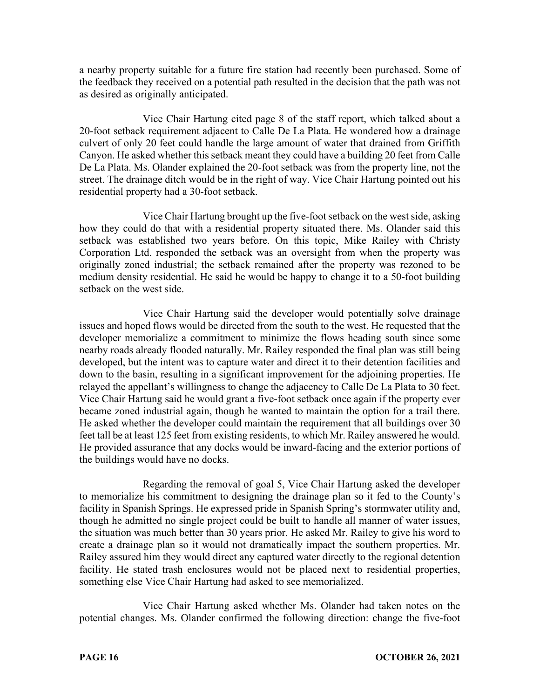a nearby property suitable for a future fire station had recently been purchased. Some of the feedback they received on a potential path resulted in the decision that the path was not as desired as originally anticipated.

Vice Chair Hartung cited page 8 of the staff report, which talked about a 20-foot setback requirement adjacent to Calle De La Plata. He wondered how a drainage culvert of only 20 feet could handle the large amount of water that drained from Griffith Canyon. He asked whether this setback meant they could have a building 20 feet from Calle De La Plata. Ms. Olander explained the 20-foot setback was from the property line, not the street. The drainage ditch would be in the right of way. Vice Chair Hartung pointed out his residential property had a 30-foot setback.

Vice Chair Hartung brought up the five-foot setback on the west side, asking how they could do that with a residential property situated there. Ms. Olander said this setback was established two years before. On this topic, Mike Railey with Christy Corporation Ltd. responded the setback was an oversight from when the property was originally zoned industrial; the setback remained after the property was rezoned to be medium density residential. He said he would be happy to change it to a 50-foot building setback on the west side.

Vice Chair Hartung said the developer would potentially solve drainage issues and hoped flows would be directed from the south to the west. He requested that the developer memorialize a commitment to minimize the flows heading south since some nearby roads already flooded naturally. Mr. Railey responded the final plan was still being developed, but the intent was to capture water and direct it to their detention facilities and down to the basin, resulting in a significant improvement for the adjoining properties. He relayed the appellant's willingness to change the adjacency to Calle De La Plata to 30 feet. Vice Chair Hartung said he would grant a five-foot setback once again if the property ever became zoned industrial again, though he wanted to maintain the option for a trail there. He asked whether the developer could maintain the requirement that all buildings over 30 feet tall be at least 125 feet from existing residents, to which Mr. Railey answered he would. He provided assurance that any docks would be inward-facing and the exterior portions of the buildings would have no docks.

Regarding the removal of goal 5, Vice Chair Hartung asked the developer to memorialize his commitment to designing the drainage plan so it fed to the County's facility in Spanish Springs. He expressed pride in Spanish Spring's stormwater utility and, though he admitted no single project could be built to handle all manner of water issues, the situation was much better than 30 years prior. He asked Mr. Railey to give his word to create a drainage plan so it would not dramatically impact the southern properties. Mr. Railey assured him they would direct any captured water directly to the regional detention facility. He stated trash enclosures would not be placed next to residential properties, something else Vice Chair Hartung had asked to see memorialized.

Vice Chair Hartung asked whether Ms. Olander had taken notes on the potential changes. Ms. Olander confirmed the following direction: change the five-foot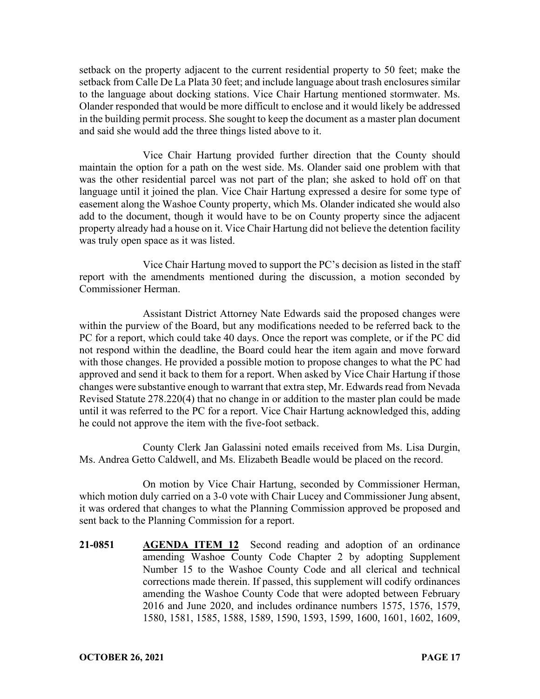setback on the property adjacent to the current residential property to 50 feet; make the setback from Calle De La Plata 30 feet; and include language about trash enclosures similar to the language about docking stations. Vice Chair Hartung mentioned stormwater. Ms. Olander responded that would be more difficult to enclose and it would likely be addressed in the building permit process. She sought to keep the document as a master plan document and said she would add the three things listed above to it.

Vice Chair Hartung provided further direction that the County should maintain the option for a path on the west side. Ms. Olander said one problem with that was the other residential parcel was not part of the plan; she asked to hold off on that language until it joined the plan. Vice Chair Hartung expressed a desire for some type of easement along the Washoe County property, which Ms. Olander indicated she would also add to the document, though it would have to be on County property since the adjacent property already had a house on it. Vice Chair Hartung did not believe the detention facility was truly open space as it was listed.

Vice Chair Hartung moved to support the PC's decision as listed in the staff report with the amendments mentioned during the discussion, a motion seconded by Commissioner Herman.

Assistant District Attorney Nate Edwards said the proposed changes were within the purview of the Board, but any modifications needed to be referred back to the PC for a report, which could take 40 days. Once the report was complete, or if the PC did not respond within the deadline, the Board could hear the item again and move forward with those changes. He provided a possible motion to propose changes to what the PC had approved and send it back to them for a report. When asked by Vice Chair Hartung if those changes were substantive enough to warrant that extra step, Mr. Edwards read from Nevada Revised Statute 278.220(4) that no change in or addition to the master plan could be made until it was referred to the PC for a report. Vice Chair Hartung acknowledged this, adding he could not approve the item with the five-foot setback.

County Clerk Jan Galassini noted emails received from Ms. Lisa Durgin, Ms. Andrea Getto Caldwell, and Ms. Elizabeth Beadle would be placed on the record.

On motion by Vice Chair Hartung, seconded by Commissioner Herman, which motion duly carried on a 3-0 vote with Chair Lucey and Commissioner Jung absent, it was ordered that changes to what the Planning Commission approved be proposed and sent back to the Planning Commission for a report.

**21-0851 AGENDA ITEM 12** Second reading and adoption of an ordinance amending Washoe County Code Chapter 2 by adopting Supplement Number 15 to the Washoe County Code and all clerical and technical corrections made therein. If passed, this supplement will codify ordinances amending the Washoe County Code that were adopted between February 2016 and June 2020, and includes ordinance numbers 1575, 1576, 1579, 1580, 1581, 1585, 1588, 1589, 1590, 1593, 1599, 1600, 1601, 1602, 1609,